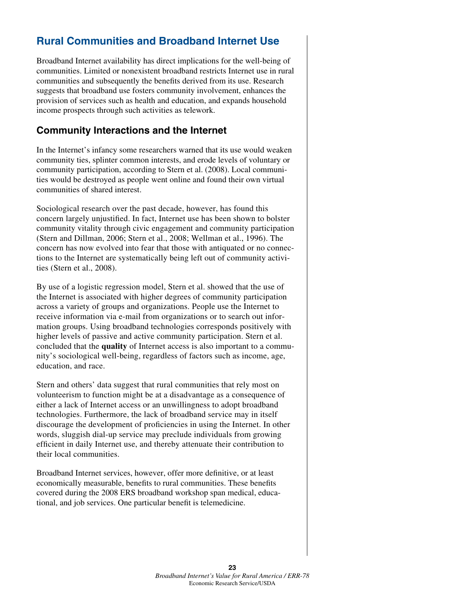# **Rural Communities and Broadband Internet Use**

Broadband Internet availability has direct implications for the well-being of communities. Limited or nonexistent broadband restricts Internet use in rural communities and subsequently the benefits derived from its use. Research suggests that broadband use fosters community involvement, enhances the provision of services such as health and education, and expands household income prospects through such activities as telework.

#### **Community Interactions and the Internet**

In the Internet's infancy some researchers warned that its use would weaken community ties, splinter common interests, and erode levels of voluntary or community participation, according to Stern et al. (2008). Local communities would be destroyed as people went online and found their own virtual communities of shared interest.

Sociological research over the past decade, however, has found this concern largely unjustified. In fact, Internet use has been shown to bolster community vitality through civic engagement and community participation (Stern and Dillman, 2006; Stern et al., 2008; Wellman et al., 1996). The concern has now evolved into fear that those with antiquated or no connections to the Internet are systematically being left out of community activities (Stern et al., 2008).

By use of a logistic regression model, Stern et al. showed that the use of the Internet is associated with higher degrees of community participation across a variety of groups and organizations. People use the Internet to receive information via e-mail from organizations or to search out information groups. Using broadband technologies corresponds positively with higher levels of passive and active community participation. Stern et al. concluded that the **quality** of Internet access is also important to a community's sociological well-being, regardless of factors such as income, age, education, and race.

Stern and others' data suggest that rural communities that rely most on volunteerism to function might be at a disadvantage as a consequence of either a lack of Internet access or an unwillingness to adopt broadband technologies. Furthermore, the lack of broadband service may in itself discourage the development of proficiencies in using the Internet. In other words, sluggish dial-up service may preclude individuals from growing efficient in daily Internet use, and thereby attenuate their contribution to their local communities.

Broadband Internet services, however, offer more definitive, or at least economically measurable, benefits to rural communities. These benefits covered during the 2008 ERS broadband workshop span medical, educational, and job services. One particular benefit is telemedicine.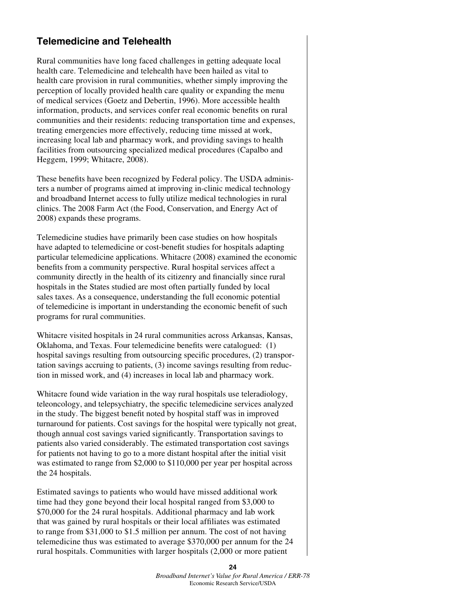#### **Telemedicine and Telehealth**

Rural communities have long faced challenges in getting adequate local health care. Telemedicine and telehealth have been hailed as vital to health care provision in rural communities, whether simply improving the perception of locally provided health care quality or expanding the menu of medical services (Goetz and Debertin, 1996). More accessible health information, products, and services confer real economic benefits on rural communities and their residents: reducing transportation time and expenses, treating emergencies more effectively, reducing time missed at work, increasing local lab and pharmacy work, and providing savings to health facilities from outsourcing specialized medical procedures (Capalbo and Heggem, 1999; Whitacre, 2008).

These benefits have been recognized by Federal policy. The USDA administers a number of programs aimed at improving in-clinic medical technology and broadband Internet access to fully utilize medical technologies in rural clinics. The 2008 Farm Act (the Food, Conservation, and Energy Act of 2008) expands these programs.

Telemedicine studies have primarily been case studies on how hospitals have adapted to telemedicine or cost-benefit studies for hospitals adapting particular telemedicine applications. Whitacre (2008) examined the economic benefits from a community perspective. Rural hospital services affect a community directly in the health of its citizenry and financially since rural hospitals in the States studied are most often partially funded by local sales taxes. As a consequence, understanding the full economic potential of telemedicine is important in understanding the economic benefit of such programs for rural communities.

Whitacre visited hospitals in 24 rural communities across Arkansas, Kansas, Oklahoma, and Texas. Four telemedicine benefits were catalogued: (1) hospital savings resulting from outsourcing specific procedures, (2) transportation savings accruing to patients, (3) income savings resulting from reduction in missed work, and (4) increases in local lab and pharmacy work.

Whitacre found wide variation in the way rural hospitals use teleradiology, teleoncology, and telepsychiatry, the specific telemedicine services analyzed in the study. The biggest benefit noted by hospital staff was in improved turnaround for patients. Cost savings for the hospital were typically not great, though annual cost savings varied significantly. Transportation savings to patients also varied considerably. The estimated transportation cost savings for patients not having to go to a more distant hospital after the initial visit was estimated to range from \$2,000 to \$110,000 per year per hospital across the 24 hospitals.

Estimated savings to patients who would have missed additional work time had they gone beyond their local hospital ranged from \$3,000 to \$70,000 for the 24 rural hospitals. Additional pharmacy and lab work that was gained by rural hospitals or their local affiliates was estimated to range from \$31,000 to \$1.5 million per annum. The cost of not having telemedicine thus was estimated to average \$370,000 per annum for the 24 rural hospitals. Communities with larger hospitals (2,000 or more patient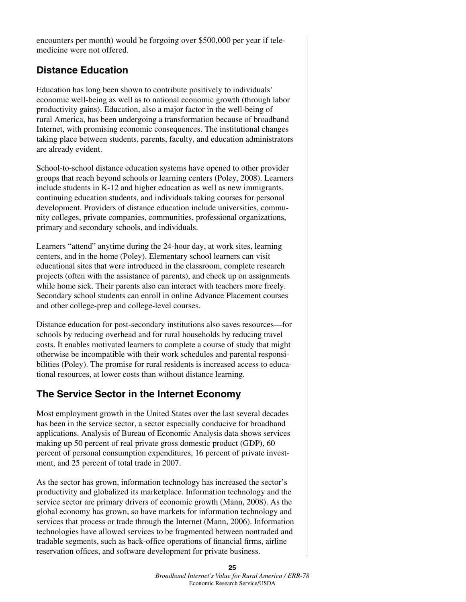encounters per month) would be forgoing over \$500,000 per year if telemedicine were not offered.

## **Distance Education**

Education has long been shown to contribute positively to individuals' economic well-being as well as to national economic growth (through labor productivity gains). Education, also a major factor in the well-being of rural America, has been undergoing a transformation because of broadband Internet, with promising economic consequences. The institutional changes taking place between students, parents, faculty, and education administrators are already evident.

School-to-school distance education systems have opened to other provider groups that reach beyond schools or learning centers (Poley, 2008). Learners include students in K-12 and higher education as well as new immigrants, continuing education students, and individuals taking courses for personal development. Providers of distance education include universities, community colleges, private companies, communities, professional organizations, primary and secondary schools, and individuals.

Learners "attend" anytime during the 24-hour day, at work sites, learning centers, and in the home (Poley). Elementary school learners can visit educational sites that were introduced in the classroom, complete research projects (often with the assistance of parents), and check up on assignments while home sick. Their parents also can interact with teachers more freely. Secondary school students can enroll in online Advance Placement courses and other college-prep and college-level courses.

Distance education for post-secondary institutions also saves resources—for schools by reducing overhead and for rural households by reducing travel costs. It enables motivated learners to complete a course of study that might otherwise be incompatible with their work schedules and parental responsibilities (Poley). The promise for rural residents is increased access to educational resources, at lower costs than without distance learning.

#### **The Service Sector in the Internet Economy**

Most employment growth in the United States over the last several decades has been in the service sector, a sector especially conducive for broadband applications. Analysis of Bureau of Economic Analysis data shows services making up 50 percent of real private gross domestic product (GDP), 60 percent of personal consumption expenditures, 16 percent of private investment, and 25 percent of total trade in 2007.

As the sector has grown, information technology has increased the sector's productivity and globalized its marketplace. Information technology and the service sector are primary drivers of economic growth (Mann, 2008). As the global economy has grown, so have markets for information technology and services that process or trade through the Internet (Mann, 2006). Information technologies have allowed services to be fragmented between nontraded and tradable segments, such as back-office operations of financial firms, airline reservation offices, and software development for private business.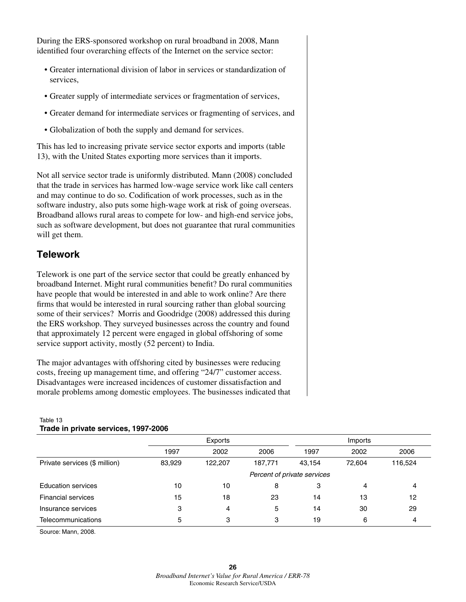During the ERS-sponsored workshop on rural broadband in 2008, Mann identified four overarching effects of the Internet on the service sector:

- Greater international division of labor in services or standardization of services,
- Greater supply of intermediate services or fragmentation of services,
- Greater demand for intermediate services or fragmenting of services, and
- Globalization of both the supply and demand for services.

This has led to increasing private service sector exports and imports (table 13), with the United States exporting more services than it imports.

Not all service sector trade is uniformly distributed. Mann (2008) concluded that the trade in services has harmed low-wage service work like call centers and may continue to do so. Codification of work processes, such as in the software industry, also puts some high-wage work at risk of going overseas. Broadband allows rural areas to compete for low- and high-end service jobs, such as software development, but does not guarantee that rural communities will get them.

## **Telework**

Telework is one part of the service sector that could be greatly enhanced by broadband Internet. Might rural communities benefit? Do rural communities have people that would be interested in and able to work online? Are there firms that would be interested in rural sourcing rather than global sourcing some of their services? Morris and Goodridge (2008) addressed this during the ERS workshop. They surveyed businesses across the country and found that approximately 12 percent were engaged in global offshoring of some service support activity, mostly (52 percent) to India.

The major advantages with offshoring cited by businesses were reducing costs, freeing up management time, and offering "24/7" customer access. Disadvantages were increased incidences of customer dissatisfaction and morale problems among domestic employees. The businesses indicated that

|                               | Exports                     |         |         | Imports |        |         |
|-------------------------------|-----------------------------|---------|---------|---------|--------|---------|
|                               | 1997                        | 2002    | 2006    | 1997    | 2002   | 2006    |
| Private services (\$ million) | 83,929                      | 122,207 | 187.771 | 43,154  | 72.604 | 116,524 |
|                               | Percent of private services |         |         |         |        |         |
| <b>Education services</b>     | 10                          | 10      | 8       | 3       | 4      | 4       |
| <b>Financial services</b>     | 15                          | 18      | 23      | 14      | 13     | 12      |
| Insurance services            | 3                           | 4       | 5       | 14      | 30     | 29      |
| Telecommunications            | 5                           | 3       | 3       | 19      | 6      | 4       |

#### Table 13 **Trade in private services, 1997-2006**

Source: Mann, 2008.